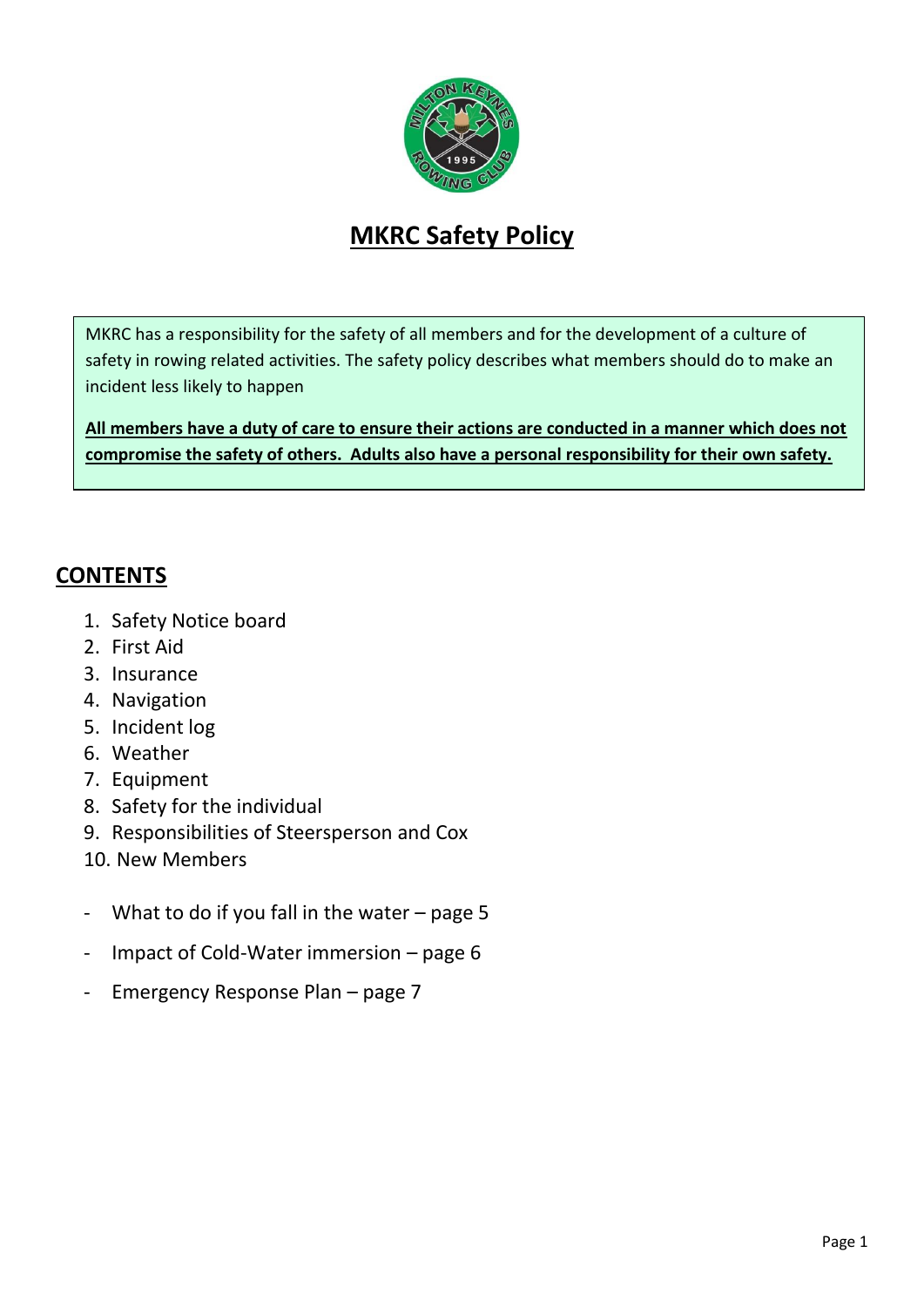

# **MKRC Safety Policy**

MKRC has a responsibility for the safety of all members and for the development of a culture of safety in rowing related activities. The safety policy describes what members should do to make an incident less likely to happen

**All members have a duty of care to ensure their actions are conducted in a manner which does not compromise the safety of others. Adults also have a personal responsibility for their own safety.**

### **CONTENTS**

- 1. Safety Notice board
- 2. First Aid
- 3. Insurance
- 4. Navigation
- 5. Incident log
- 6. Weather
- 7. Equipment
- 8. Safety for the individual
- 9. Responsibilities of Steersperson and Cox
- 10. New Members
- What to do if you fall in the water  $-$  page 5
- Impact of Cold-Water immersion page 6
- Emergency Response Plan page 7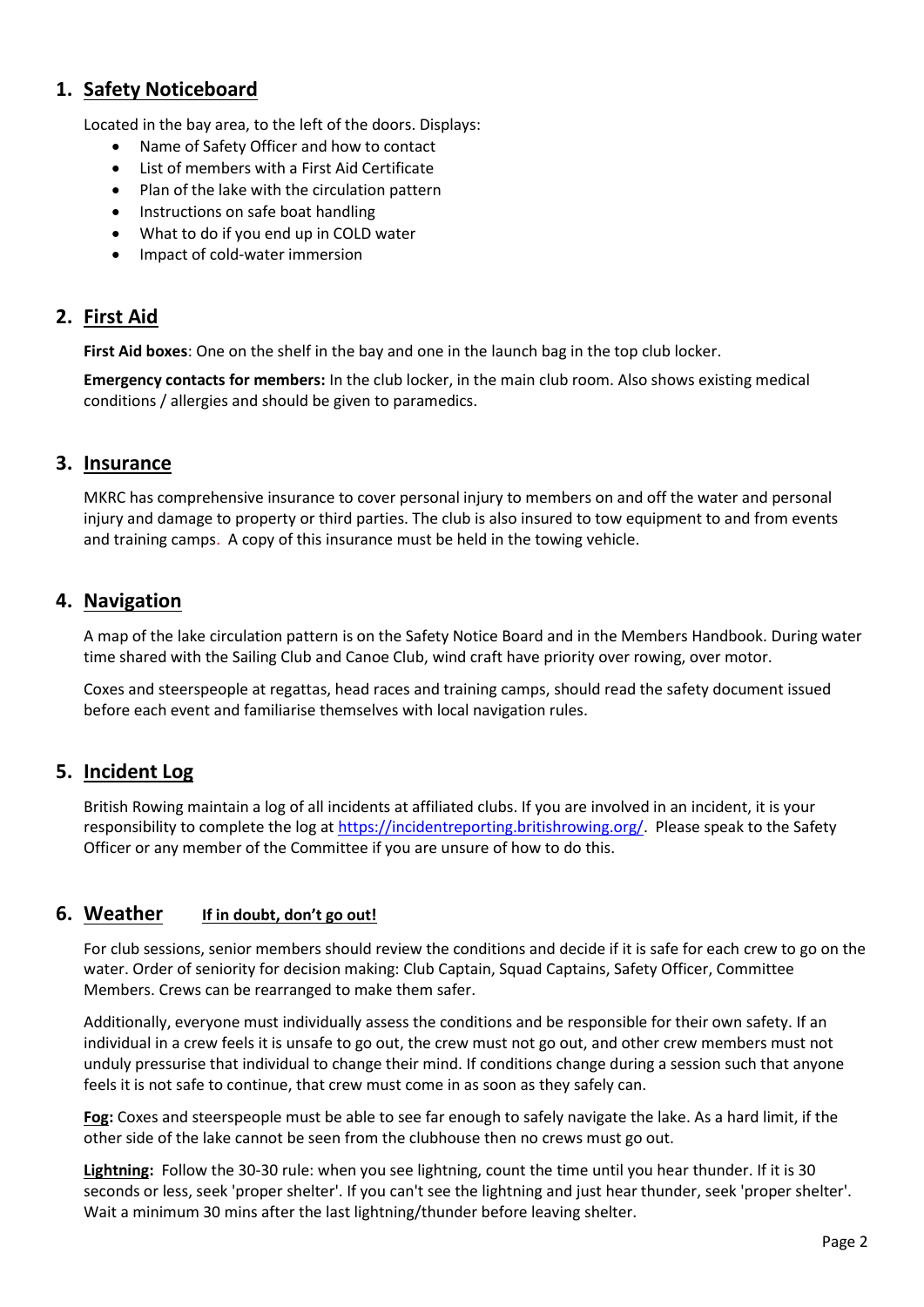### **1. Safety Noticeboard**

Located in the bay area, to the left of the doors. Displays:

- Name of Safety Officer and how to contact
- List of members with a First Aid Certificate
- Plan of the lake with the circulation pattern
- Instructions on safe boat handling
- What to do if you end up in COLD water
- Impact of cold-water immersion

### **2. First Aid**

**First Aid boxes**: One on the shelf in the bay and one in the launch bag in the top club locker.

**Emergency contacts for members:** In the club locker, in the main club room. Also shows existing medical conditions / allergies and should be given to paramedics.

### **3. Insurance**

MKRC has comprehensive insurance to cover personal injury to members on and off the water and personal injury and damage to property or third parties. The club is also insured to tow equipment to and from events and training camps. A copy of this insurance must be held in the towing vehicle.

### **4. Navigation**

A map of the lake circulation pattern is on the Safety Notice Board and in the Members Handbook. During water time shared with the Sailing Club and Canoe Club, wind craft have priority over rowing, over motor.

Coxes and steerspeople at regattas, head races and training camps, should read the safety document issued before each event and familiarise themselves with local navigation rules.

### **5. Incident Log**

British Rowing maintain a log of all incidents at affiliated clubs. If you are involved in an incident, it is your responsibility to complete the log at [https://incidentreporting.britishrowing.org/.](https://incidentreporting.britishrowing.org/) Please speak to the Safety Officer or any member of the Committee if you are unsure of how to do this.

### **6. Weather If in doubt, don't go out!**

For club sessions, senior members should review the conditions and decide if it is safe for each crew to go on the water. Order of seniority for decision making: Club Captain, Squad Captains, Safety Officer, Committee Members. Crews can be rearranged to make them safer.

Additionally, everyone must individually assess the conditions and be responsible for their own safety. If an individual in a crew feels it is unsafe to go out, the crew must not go out, and other crew members must not unduly pressurise that individual to change their mind. If conditions change during a session such that anyone feels it is not safe to continue, that crew must come in as soon as they safely can.

**Fog:** Coxes and steerspeople must be able to see far enough to safely navigate the lake. As a hard limit, if the other side of the lake cannot be seen from the clubhouse then no crews must go out.

**Lightning:** Follow the 30-30 rule: when you see lightning, count the time until you hear thunder. If it is 30 seconds or less, seek 'proper shelter'. If you can't see the lightning and just hear thunder, seek 'proper shelter'. Wait a minimum 30 mins after the last lightning/thunder before leaving shelter.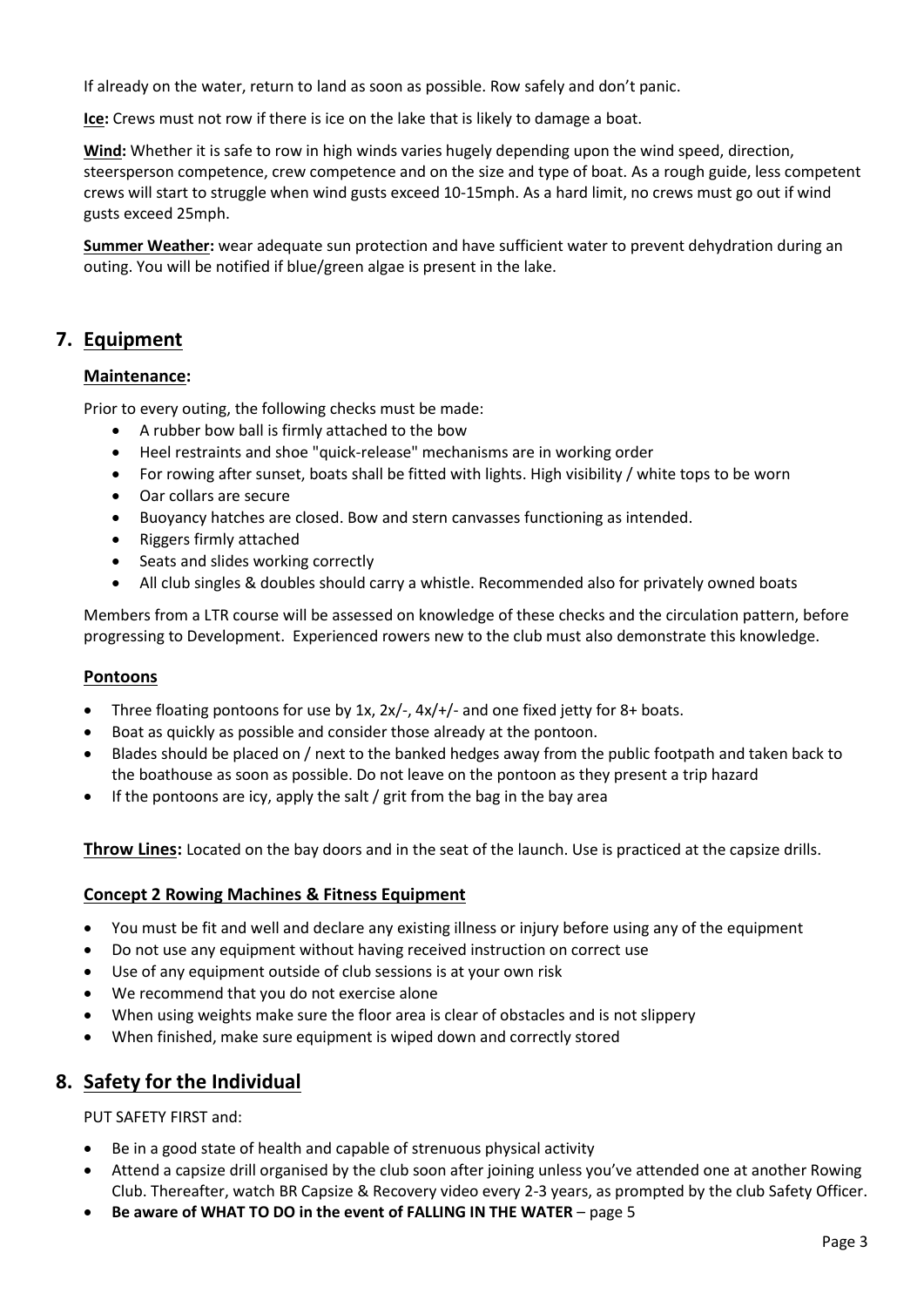If already on the water, return to land as soon as possible. Row safely and don't panic.

**Ice:** Crews must not row if there is ice on the lake that is likely to damage a boat.

**Wind:** Whether it is safe to row in high winds varies hugely depending upon the wind speed, direction, steersperson competence, crew competence and on the size and type of boat. As a rough guide, less competent crews will start to struggle when wind gusts exceed 10-15mph. As a hard limit, no crews must go out if wind gusts exceed 25mph.

**Summer Weather:** wear adequate sun protection and have sufficient water to prevent dehydration during an outing. You will be notified if blue/green algae is present in the lake.

### **7. Equipment**

#### **Maintenance:**

Prior to every outing, the following checks must be made:

- A rubber bow ball is firmly attached to the bow
- Heel restraints and shoe "quick-release" mechanisms are in working order
- For rowing after sunset, boats shall be fitted with lights. High visibility / white tops to be worn
- Oar collars are secure
- Buoyancy hatches are closed. Bow and stern canvasses functioning as intended.
- Riggers firmly attached
- Seats and slides working correctly
- All club singles & doubles should carry a whistle. Recommended also for privately owned boats

Members from a LTR course will be assessed on knowledge of these checks and the circulation pattern, before progressing to Development. Experienced rowers new to the club must also demonstrate this knowledge.

#### **Pontoons**

- Three floating pontoons for use by 1x,  $2x/-$ ,  $4x/+/$  and one fixed jetty for 8+ boats.
- Boat as quickly as possible and consider those already at the pontoon.
- Blades should be placed on / next to the banked hedges away from the public footpath and taken back to the boathouse as soon as possible. Do not leave on the pontoon as they present a trip hazard
- If the pontoons are icy, apply the salt / grit from the bag in the bay area

**Throw Lines:** Located on the bay doors and in the seat of the launch. Use is practiced at the capsize drills.

#### **Concept 2 Rowing Machines & Fitness Equipment**

- You must be fit and well and declare any existing illness or injury before using any of the equipment
- Do not use any equipment without having received instruction on correct use
- Use of any equipment outside of club sessions is at your own risk
- We recommend that you do not exercise alone
- When using weights make sure the floor area is clear of obstacles and is not slippery
- When finished, make sure equipment is wiped down and correctly stored

### **8. Safety for the Individual**

PUT SAFETY FIRST and:

- Be in a good state of health and capable of strenuous physical activity
- Attend a capsize drill organised by the club soon after joining unless you've attended one at another Rowing Club. Thereafter, watch BR Capsize & Recovery video every 2-3 years, as prompted by the club Safety Officer.
- **Be aware of WHAT TO DO in the event of FALLING IN THE WATER page 5**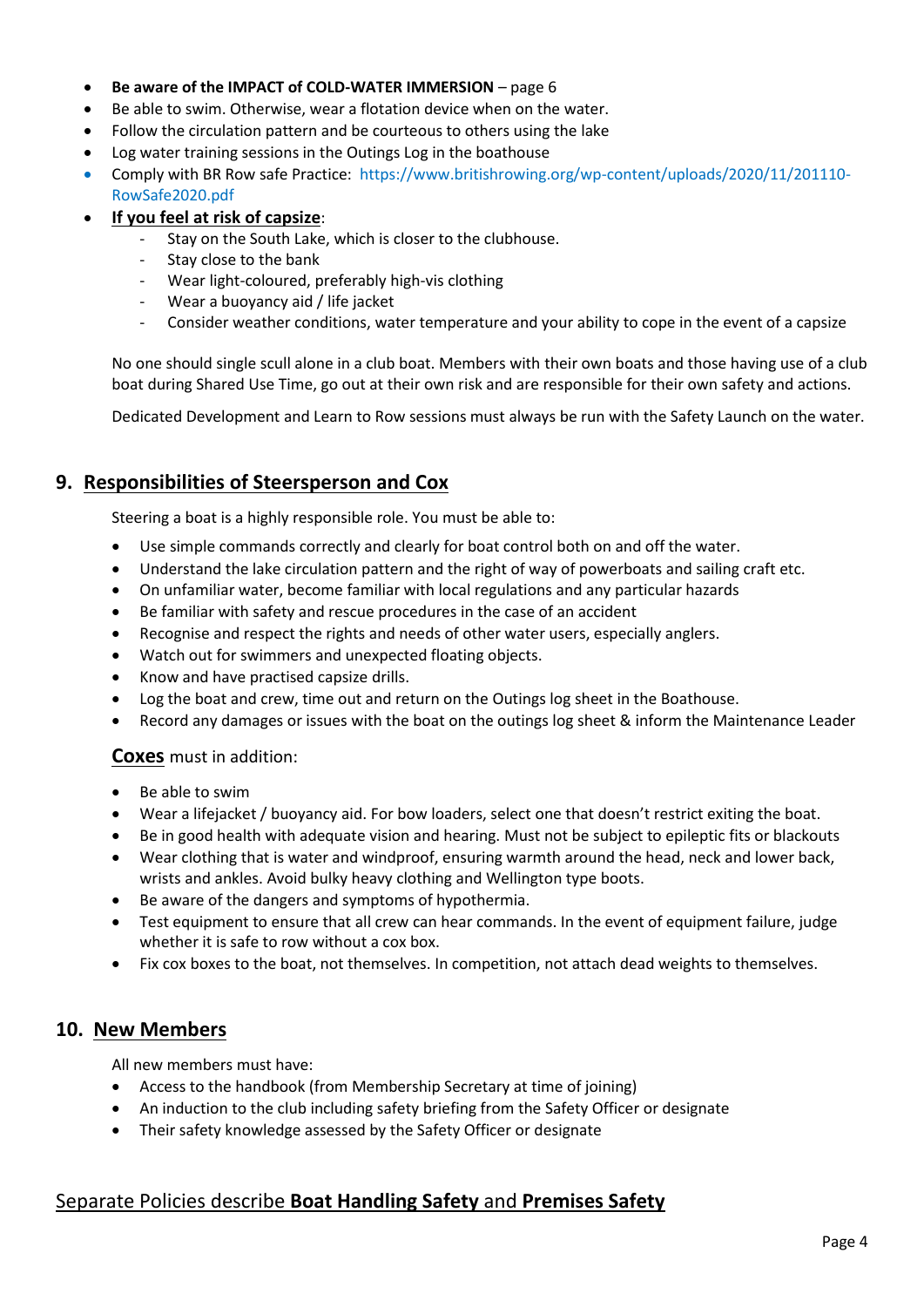- **Be aware of the IMPACT of COLD-WATER IMMERSION**  page 6
- Be able to swim. Otherwise, wear a flotation device when on the water.
- Follow the circulation pattern and be courteous to others using the lake
- Log water training sessions in the Outings Log in the boathouse
- Comply with BR Row safe Practice: https://www.britishrowing.org/wp-content/uploads/2020/11/201110- RowSafe2020.pdf
- **If you feel at risk of capsize**:
	- Stay on the South Lake, which is closer to the clubhouse.
	- Stay close to the bank
	- Wear light-coloured, preferably high-vis clothing
	- Wear a buoyancy aid / life jacket
	- Consider weather conditions, water temperature and your ability to cope in the event of a capsize

No one should single scull alone in a club boat. Members with their own boats and those having use of a club boat during Shared Use Time, go out at their own risk and are responsible for their own safety and actions.

Dedicated Development and Learn to Row sessions must always be run with the Safety Launch on the water.

### **9. Responsibilities of Steersperson and Cox**

Steering a boat is a highly responsible role. You must be able to:

- Use simple commands correctly and clearly for boat control both on and off the water.
- Understand the lake circulation pattern and the right of way of powerboats and sailing craft etc.
- On unfamiliar water, become familiar with local regulations and any particular hazards
- Be familiar with safety and rescue procedures in the case of an accident
- Recognise and respect the rights and needs of other water users, especially anglers.
- Watch out for swimmers and unexpected floating objects.
- Know and have practised capsize drills.
- Log the boat and crew, time out and return on the Outings log sheet in the Boathouse.
- Record any damages or issues with the boat on the outings log sheet & inform the Maintenance Leader

#### **Coxes** must in addition:

- Be able to swim
- Wear a lifejacket / buoyancy aid. For bow loaders, select one that doesn't restrict exiting the boat.
- Be in good health with adequate vision and hearing. Must not be subject to epileptic fits or blackouts
- Wear clothing that is water and windproof, ensuring warmth around the head, neck and lower back, wrists and ankles. Avoid bulky heavy clothing and Wellington type boots.
- Be aware of the dangers and symptoms of hypothermia.
- Test equipment to ensure that all crew can hear commands. In the event of equipment failure, judge whether it is safe to row without a cox box.
- Fix cox boxes to the boat, not themselves. In competition, not attach dead weights to themselves.

### **10. New Members**

All new members must have:

- Access to the handbook (from Membership Secretary at time of joining)
- An induction to the club including safety briefing from the Safety Officer or designate
- Their safety knowledge assessed by the Safety Officer or designate

### Separate Policies describe **Boat Handling Safety** and **Premises Safety**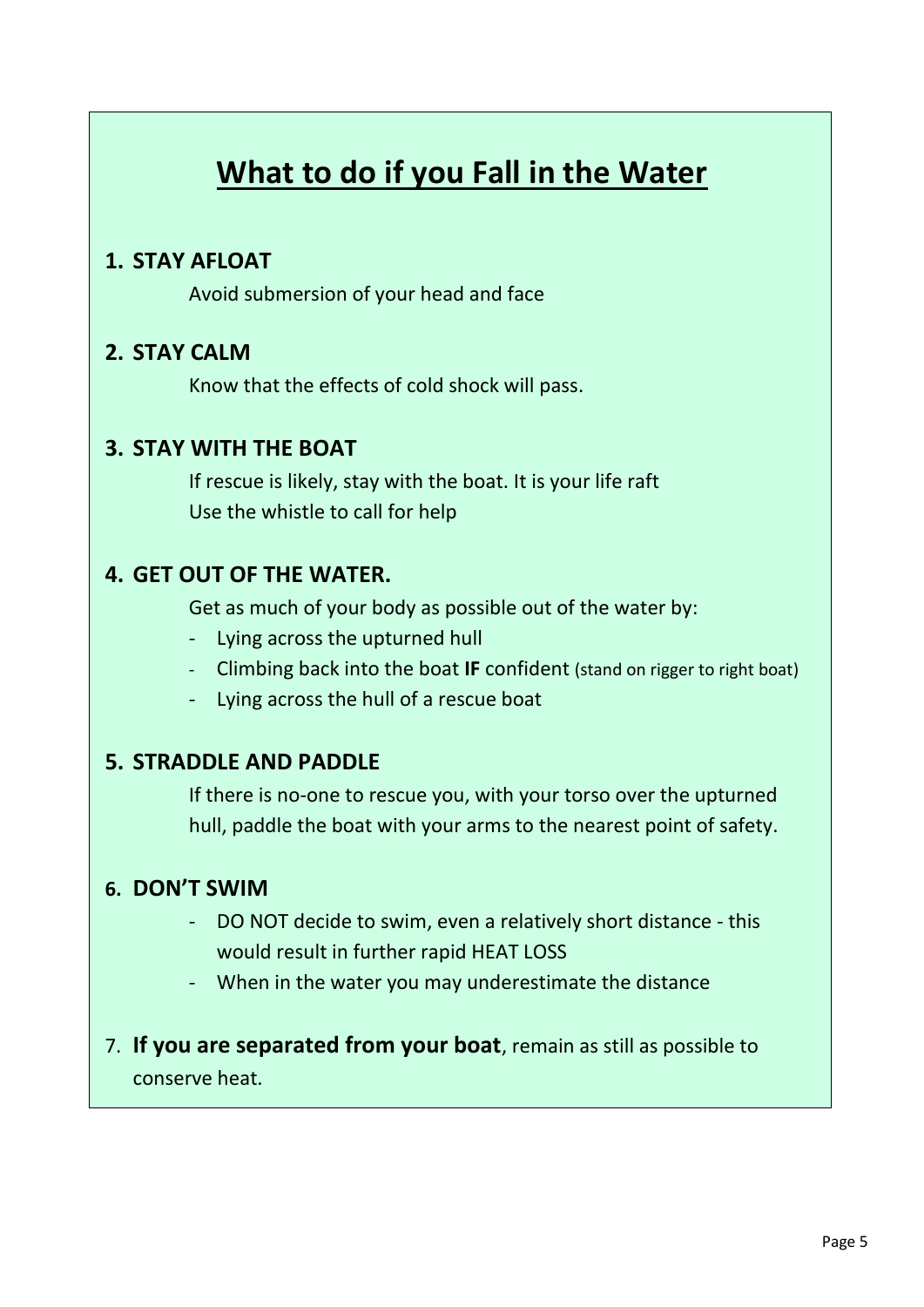# **What to do if you Fall in the Water**

### **1. STAY AFLOAT**

Avoid submersion of your head and face

### **2. STAY CALM**

Know that the effects of cold shock will pass.

### **3. STAY WITH THE BOAT**

If rescue is likely, stay with the boat. It is your life raft Use the whistle to call for help

### **4. GET OUT OF THE WATER.**

Get as much of your body as possible out of the water by:

- Lying across the upturned hull
- Climbing back into the boat **IF** confident (stand on rigger to right boat)
- Lying across the hull of a rescue boat

### **5. STRADDLE AND PADDLE**

If there is no-one to rescue you, with your torso over the upturned hull, paddle the boat with your arms to the nearest point of safety.

### **6. DON'T SWIM**

- DO NOT decide to swim, even a relatively short distance this would result in further rapid HEAT LOSS
- When in the water you may underestimate the distance
- 7. **If you are separated from your boat**, remain as still as possible to conserve heat.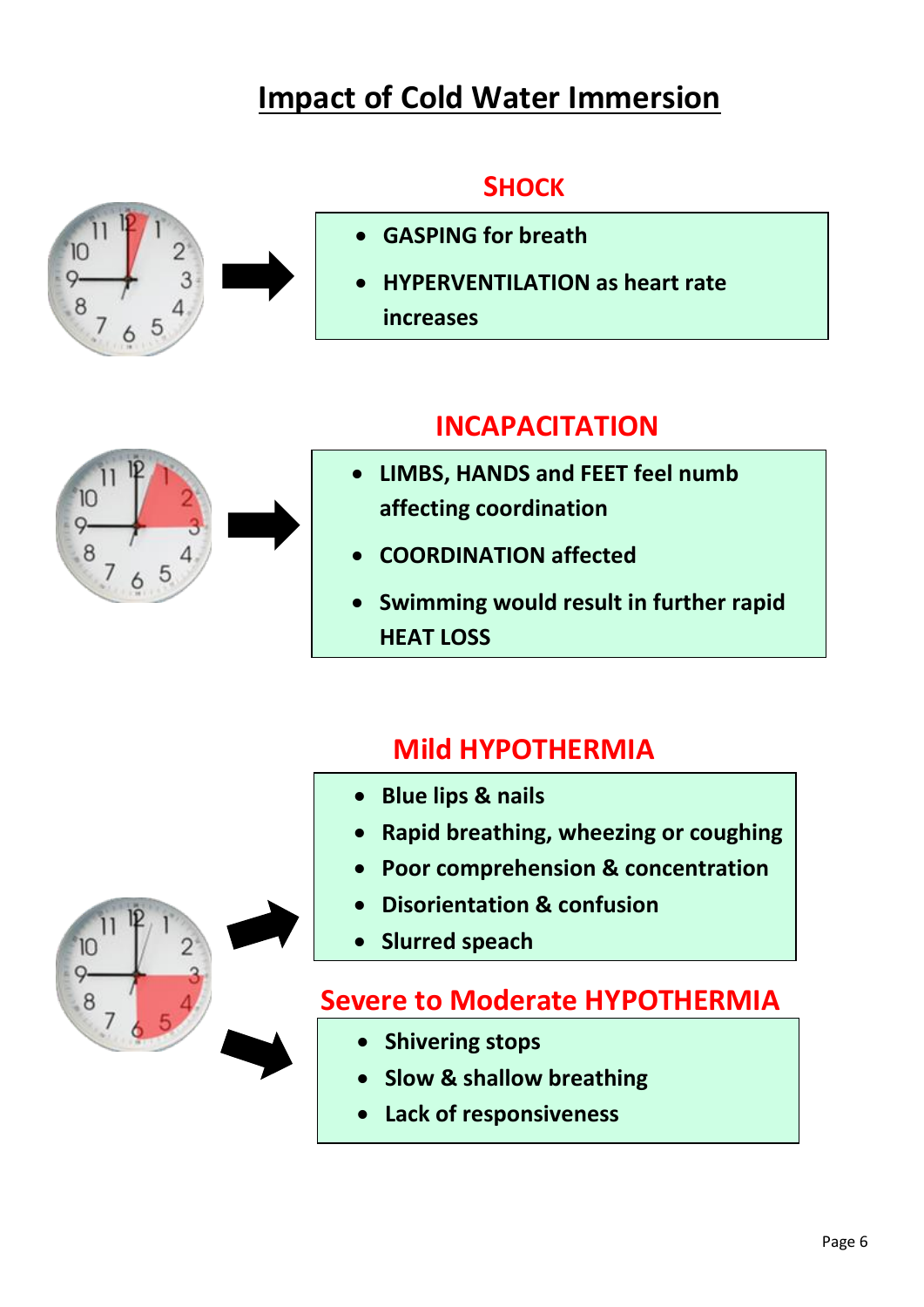# **Impact of Cold Water Immersion**

## **SHOCK**



# **INCAPACITATION**





- **COORDINATION affected**
- **Swimming would result in further rapid HEAT LOSS**

# **Mild HYPOTHERMIA**

- **Blue lips & nails**
- **Rapid breathing, wheezing or coughing**
- **Poor comprehension & concentration**
- **Disorientation & confusion**
- **Slurred speach**

# **Severe to Moderate HYPOTHERMIA**

- **Shivering stops**
- **Slow & shallow breathing**
- **Lack of responsiveness**